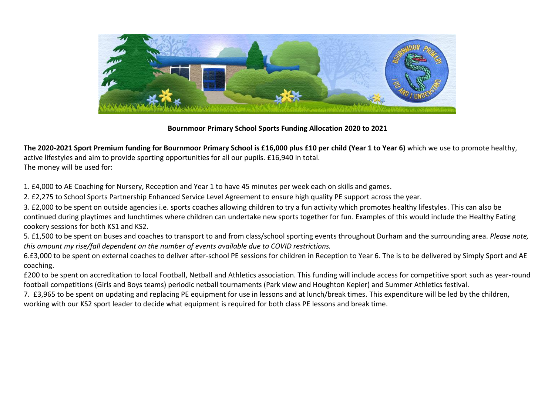

### **Bournmoor Primary School Sports Funding Allocation 2020 to 2021**

**The 2020-2021 Sport Premium funding for Bournmoor Primary School is £16,000 plus £10 per child (Year 1 to Year 6)** which we use to promote healthy, active lifestyles and aim to provide sporting opportunities for all our pupils. £16,940 in total. The money will be used for:

1. £4,000 to AE Coaching for Nursery, Reception and Year 1 to have 45 minutes per week each on skills and games.

2. £2,275 to School Sports Partnership Enhanced Service Level Agreement to ensure high quality PE support across the year.

3. £2,000 to be spent on outside agencies i.e. sports coaches allowing children to try a fun activity which promotes healthy lifestyles. This can also be continued during playtimes and lunchtimes where children can undertake new sports together for fun. Examples of this would include the Healthy Eating cookery sessions for both KS1 and KS2.

5. £1,500 to be spent on buses and coaches to transport to and from class/school sporting events throughout Durham and the surrounding area. *Please note, this amount my rise/fall dependent on the number of events available due to COVID restrictions.*

6.£3,000 to be spent on external coaches to deliver after-school PE sessions for children in Reception to Year 6. The is to be delivered by Simply Sport and AE coaching.

£200 to be spent on accreditation to local Football, Netball and Athletics association. This funding will include access for competitive sport such as year-round football competitions (Girls and Boys teams) periodic netball tournaments (Park view and Houghton Kepier) and Summer Athletics festival.

7. £3,965 to be spent on updating and replacing PE equipment for use in lessons and at lunch/break times. This expenditure will be led by the children,

working with our KS2 sport leader to decide what equipment is required for both class PE lessons and break time.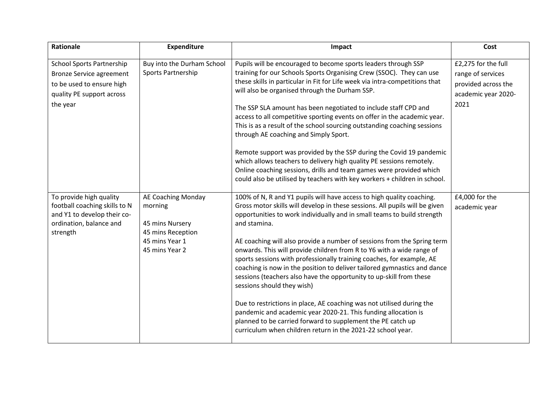| Rationale                                              | <b>Expenditure</b>               | Impact                                                                                                                                                                                                                                                                                                                                                                                                     | Cost                |
|--------------------------------------------------------|----------------------------------|------------------------------------------------------------------------------------------------------------------------------------------------------------------------------------------------------------------------------------------------------------------------------------------------------------------------------------------------------------------------------------------------------------|---------------------|
| <b>School Sports Partnership</b>                       | Buy into the Durham School       | Pupils will be encouraged to become sports leaders through SSP                                                                                                                                                                                                                                                                                                                                             | £2,275 for the full |
| <b>Bronze Service agreement</b>                        | Sports Partnership               | training for our Schools Sports Organising Crew (SSOC). They can use                                                                                                                                                                                                                                                                                                                                       | range of services   |
| to be used to ensure high                              |                                  | these skills in particular in Fit for Life week via intra-competitions that                                                                                                                                                                                                                                                                                                                                | provided across the |
| quality PE support across                              |                                  | will also be organised through the Durham SSP.                                                                                                                                                                                                                                                                                                                                                             | academic year 2020- |
| the year                                               |                                  | The SSP SLA amount has been negotiated to include staff CPD and<br>access to all competitive sporting events on offer in the academic year.<br>This is as a result of the school sourcing outstanding coaching sessions<br>through AE coaching and Simply Sport.                                                                                                                                           | 2021                |
|                                                        |                                  | Remote support was provided by the SSP during the Covid 19 pandemic<br>which allows teachers to delivery high quality PE sessions remotely.<br>Online coaching sessions, drills and team games were provided which<br>could also be utilised by teachers with key workers + children in school.                                                                                                            |                     |
| To provide high quality                                | AE Coaching Monday               | 100% of N, R and Y1 pupils will have access to high quality coaching.                                                                                                                                                                                                                                                                                                                                      | £4,000 for the      |
| football coaching skills to N                          | morning                          | Gross motor skills will develop in these sessions. All pupils will be given                                                                                                                                                                                                                                                                                                                                | academic year       |
| and Y1 to develop their co-<br>ordination, balance and | 45 mins Nursery                  | opportunities to work individually and in small teams to build strength<br>and stamina.                                                                                                                                                                                                                                                                                                                    |                     |
| strength                                               | 45 mins Reception                |                                                                                                                                                                                                                                                                                                                                                                                                            |                     |
|                                                        | 45 mins Year 1<br>45 mins Year 2 | AE coaching will also provide a number of sessions from the Spring term<br>onwards. This will provide children from R to Y6 with a wide range of<br>sports sessions with professionally training coaches, for example, AE<br>coaching is now in the position to deliver tailored gymnastics and dance<br>sessions (teachers also have the opportunity to up-skill from these<br>sessions should they wish) |                     |
|                                                        |                                  | Due to restrictions in place, AE coaching was not utilised during the<br>pandemic and academic year 2020-21. This funding allocation is<br>planned to be carried forward to supplement the PE catch up<br>curriculum when children return in the 2021-22 school year.                                                                                                                                      |                     |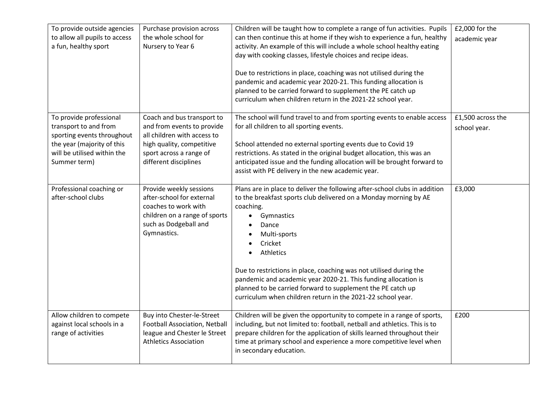| To provide outside agencies<br>to allow all pupils to access<br>a fun, healthy sport                                                                        | Purchase provision across<br>the whole school for<br>Nursery to Year 6                                                                                                   | Children will be taught how to complete a range of fun activities. Pupils<br>can then continue this at home if they wish to experience a fun, healthy<br>activity. An example of this will include a whole school healthy eating<br>day with cooking classes, lifestyle choices and recipe ideas.<br>Due to restrictions in place, coaching was not utilised during the<br>pandemic and academic year 2020-21. This funding allocation is<br>planned to be carried forward to supplement the PE catch up<br>curriculum when children return in the 2021-22 school year.  | $£2,000$ for the<br>academic year |
|-------------------------------------------------------------------------------------------------------------------------------------------------------------|--------------------------------------------------------------------------------------------------------------------------------------------------------------------------|--------------------------------------------------------------------------------------------------------------------------------------------------------------------------------------------------------------------------------------------------------------------------------------------------------------------------------------------------------------------------------------------------------------------------------------------------------------------------------------------------------------------------------------------------------------------------|-----------------------------------|
| To provide professional<br>transport to and from<br>sporting events throughout<br>the year (majority of this<br>will be utilised within the<br>Summer term) | Coach and bus transport to<br>and from events to provide<br>all children with access to<br>high quality, competitive<br>sport across a range of<br>different disciplines | The school will fund travel to and from sporting events to enable access<br>for all children to all sporting events.<br>School attended no external sporting events due to Covid 19<br>restrictions. As stated in the original budget allocation, this was an<br>anticipated issue and the funding allocation will be brought forward to<br>assist with PE delivery in the new academic year.                                                                                                                                                                            | £1,500 across the<br>school year. |
| Professional coaching or<br>after-school clubs                                                                                                              | Provide weekly sessions<br>after-school for external<br>coaches to work with<br>children on a range of sports<br>such as Dodgeball and<br>Gymnastics.                    | Plans are in place to deliver the following after-school clubs in addition<br>to the breakfast sports club delivered on a Monday morning by AE<br>coaching.<br>Gymnastics<br>$\bullet$<br>Dance<br>$\bullet$<br>Multi-sports<br>$\bullet$<br>Cricket<br>$\bullet$<br><b>Athletics</b><br>$\bullet$<br>Due to restrictions in place, coaching was not utilised during the<br>pandemic and academic year 2020-21. This funding allocation is<br>planned to be carried forward to supplement the PE catch up<br>curriculum when children return in the 2021-22 school year. | £3,000                            |
| Allow children to compete<br>against local schools in a<br>range of activities                                                                              | Buy into Chester-le-Street<br>Football Association, Netball<br>league and Chester le Street<br><b>Athletics Association</b>                                              | Children will be given the opportunity to compete in a range of sports,<br>including, but not limited to: football, netball and athletics. This is to<br>prepare children for the application of skills learned throughout their<br>time at primary school and experience a more competitive level when<br>in secondary education.                                                                                                                                                                                                                                       | £200                              |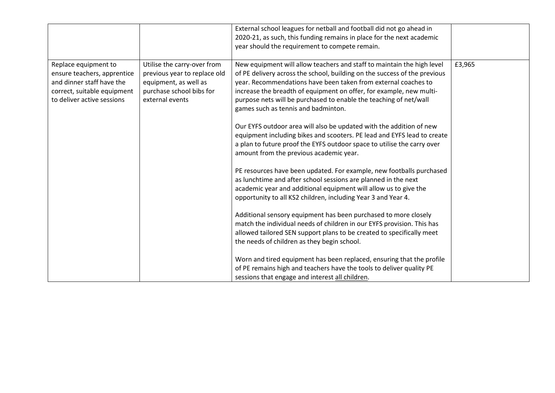|                                                                                                                                               |                                                                                                                                     | External school leagues for netball and football did not go ahead in<br>2020-21, as such, this funding remains in place for the next academic<br>year should the requirement to compete remain.                                                                                                                                                                                                          |        |
|-----------------------------------------------------------------------------------------------------------------------------------------------|-------------------------------------------------------------------------------------------------------------------------------------|----------------------------------------------------------------------------------------------------------------------------------------------------------------------------------------------------------------------------------------------------------------------------------------------------------------------------------------------------------------------------------------------------------|--------|
| Replace equipment to<br>ensure teachers, apprentice<br>and dinner staff have the<br>correct, suitable equipment<br>to deliver active sessions | Utilise the carry-over from<br>previous year to replace old<br>equipment, as well as<br>purchase school bibs for<br>external events | New equipment will allow teachers and staff to maintain the high level<br>of PE delivery across the school, building on the success of the previous<br>year. Recommendations have been taken from external coaches to<br>increase the breadth of equipment on offer, for example, new multi-<br>purpose nets will be purchased to enable the teaching of net/wall<br>games such as tennis and badminton. | £3,965 |
|                                                                                                                                               |                                                                                                                                     | Our EYFS outdoor area will also be updated with the addition of new<br>equipment including bikes and scooters. PE lead and EYFS lead to create<br>a plan to future proof the EYFS outdoor space to utilise the carry over<br>amount from the previous academic year.                                                                                                                                     |        |
|                                                                                                                                               |                                                                                                                                     | PE resources have been updated. For example, new footballs purchased<br>as lunchtime and after school sessions are planned in the next<br>academic year and additional equipment will allow us to give the<br>opportunity to all KS2 children, including Year 3 and Year 4.                                                                                                                              |        |
|                                                                                                                                               |                                                                                                                                     | Additional sensory equipment has been purchased to more closely<br>match the individual needs of children in our EYFS provision. This has<br>allowed tailored SEN support plans to be created to specifically meet<br>the needs of children as they begin school.                                                                                                                                        |        |
|                                                                                                                                               |                                                                                                                                     | Worn and tired equipment has been replaced, ensuring that the profile<br>of PE remains high and teachers have the tools to deliver quality PE<br>sessions that engage and interest all children.                                                                                                                                                                                                         |        |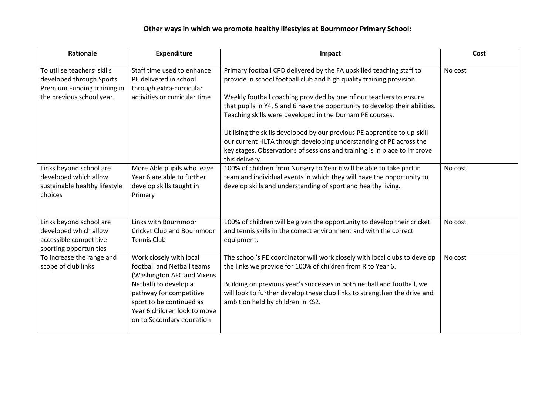# **Other ways in which we promote healthy lifestyles at Bournmoor Primary School:**

| <b>Rationale</b>                                                                                                    | Expenditure                                                                                                                                                                                                                      | Impact                                                                                                                                                                                                                                                                                                                                                                                                                                                                                                          | Cost    |
|---------------------------------------------------------------------------------------------------------------------|----------------------------------------------------------------------------------------------------------------------------------------------------------------------------------------------------------------------------------|-----------------------------------------------------------------------------------------------------------------------------------------------------------------------------------------------------------------------------------------------------------------------------------------------------------------------------------------------------------------------------------------------------------------------------------------------------------------------------------------------------------------|---------|
| To utilise teachers' skills<br>developed through Sports<br>Premium Funding training in<br>the previous school year. | Staff time used to enhance<br>PE delivered in school<br>through extra-curricular<br>activities or curricular time                                                                                                                | Primary football CPD delivered by the FA upskilled teaching staff to<br>provide in school football club and high quality training provision.<br>Weekly football coaching provided by one of our teachers to ensure<br>that pupils in Y4, 5 and 6 have the opportunity to develop their abilities.<br>Teaching skills were developed in the Durham PE courses.<br>Utilising the skills developed by our previous PE apprentice to up-skill<br>our current HLTA through developing understanding of PE across the | No cost |
|                                                                                                                     |                                                                                                                                                                                                                                  | key stages. Observations of sessions and training is in place to improve<br>this delivery.                                                                                                                                                                                                                                                                                                                                                                                                                      |         |
| Links beyond school are<br>developed which allow<br>sustainable healthy lifestyle<br>choices                        | More Able pupils who leave<br>Year 6 are able to further<br>develop skills taught in<br>Primary                                                                                                                                  | 100% of children from Nursery to Year 6 will be able to take part in<br>team and individual events in which they will have the opportunity to<br>develop skills and understanding of sport and healthy living.                                                                                                                                                                                                                                                                                                  | No cost |
| Links beyond school are<br>developed which allow<br>accessible competitive<br>sporting opportunities                | Links with Bournmoor<br><b>Cricket Club and Bournmoor</b><br><b>Tennis Club</b>                                                                                                                                                  | 100% of children will be given the opportunity to develop their cricket<br>and tennis skills in the correct environment and with the correct<br>equipment.                                                                                                                                                                                                                                                                                                                                                      | No cost |
| To increase the range and<br>scope of club links                                                                    | Work closely with local<br>football and Netball teams<br>(Washington AFC and Vixens<br>Netball) to develop a<br>pathway for competitive<br>sport to be continued as<br>Year 6 children look to move<br>on to Secondary education | The school's PE coordinator will work closely with local clubs to develop<br>the links we provide for 100% of children from R to Year 6.<br>Building on previous year's successes in both netball and football, we<br>will look to further develop these club links to strengthen the drive and<br>ambition held by children in KS2.                                                                                                                                                                            | No cost |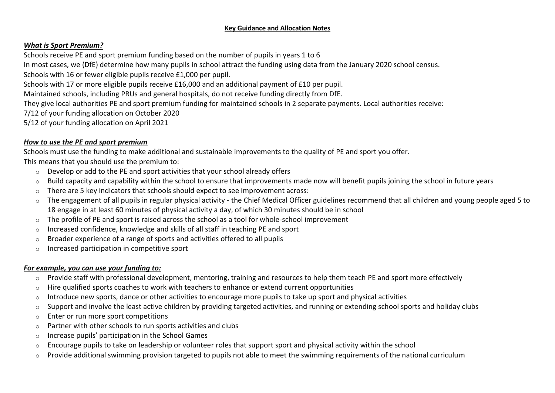#### **Key Guidance and Allocation Notes**

### *What is Sport Premium?*

Schools receive PE and sport premium funding based on the number of pupils in years 1 to 6

In most cases, we (DfE) determine how many pupils in school attract the funding using data from the January 2020 school census.

Schools with 16 or fewer eligible pupils receive £1,000 per pupil.

Schools with 17 or more eligible pupils receive £16,000 and an additional payment of £10 per pupil.

Maintained schools, including PRUs and general hospitals, do not receive funding directly from DfE.

They give local authorities PE and sport premium funding for maintained schools in 2 separate payments. Local authorities receive:

7/12 of your funding allocation on October 2020

5/12 of your funding allocation on April 2021

#### *How to use the PE and sport premium*

Schools must use the funding to make additional and sustainable improvements to the quality of PE and sport you offer.

This means that you should use the premium to:

- $\circ$  Develop or add to the PE and sport activities that your school already offers
- $\circ$  Build capacity and capability within the school to ensure that improvements made now will benefit pupils joining the school in future years
- $\circ$  There are 5 key indicators that schools should expect to see improvement across:
- $\circ$  The engagement of all pupils in regular physical activity the Chief Medical Officer guidelines recommend that all children and young people aged 5 to 18 engage in at least 60 minutes of physical activity a day, of which 30 minutes should be in school
- o The profile of PE and sport is raised across the school as a tool for whole-school improvement
- o Increased confidence, knowledge and skills of all staff in teaching PE and sport
- $\circ$  Broader experience of a range of sports and activities offered to all pupils
- $\circ$  Increased participation in competitive sport

# *For example, you can use your funding to:*

- o Provide staff with professional development, mentoring, training and resources to help them teach PE and sport more effectively
- $\circ$  Hire qualified sports coaches to work with teachers to enhance or extend current opportunities
- $\circ$  Introduce new sports, dance or other activities to encourage more pupils to take up sport and physical activities
- o Support and involve the least active children by providing targeted activities, and running or extending school sports and holiday clubs
- o Enter or run more sport competitions
- o Partner with other schools to run sports activities and clubs
- o Increase pupils' participation in the School [Games](https://www.gov.uk/government/policies/getting-more-people-playing-sport/supporting-pages/the-school-games)
- o Encourage pupils to take on leadership or volunteer roles that support sport and physical activity within the school
- $\circ$  Provide additional swimming provision targeted to pupils not able to meet the swimming requirements of the national curriculum